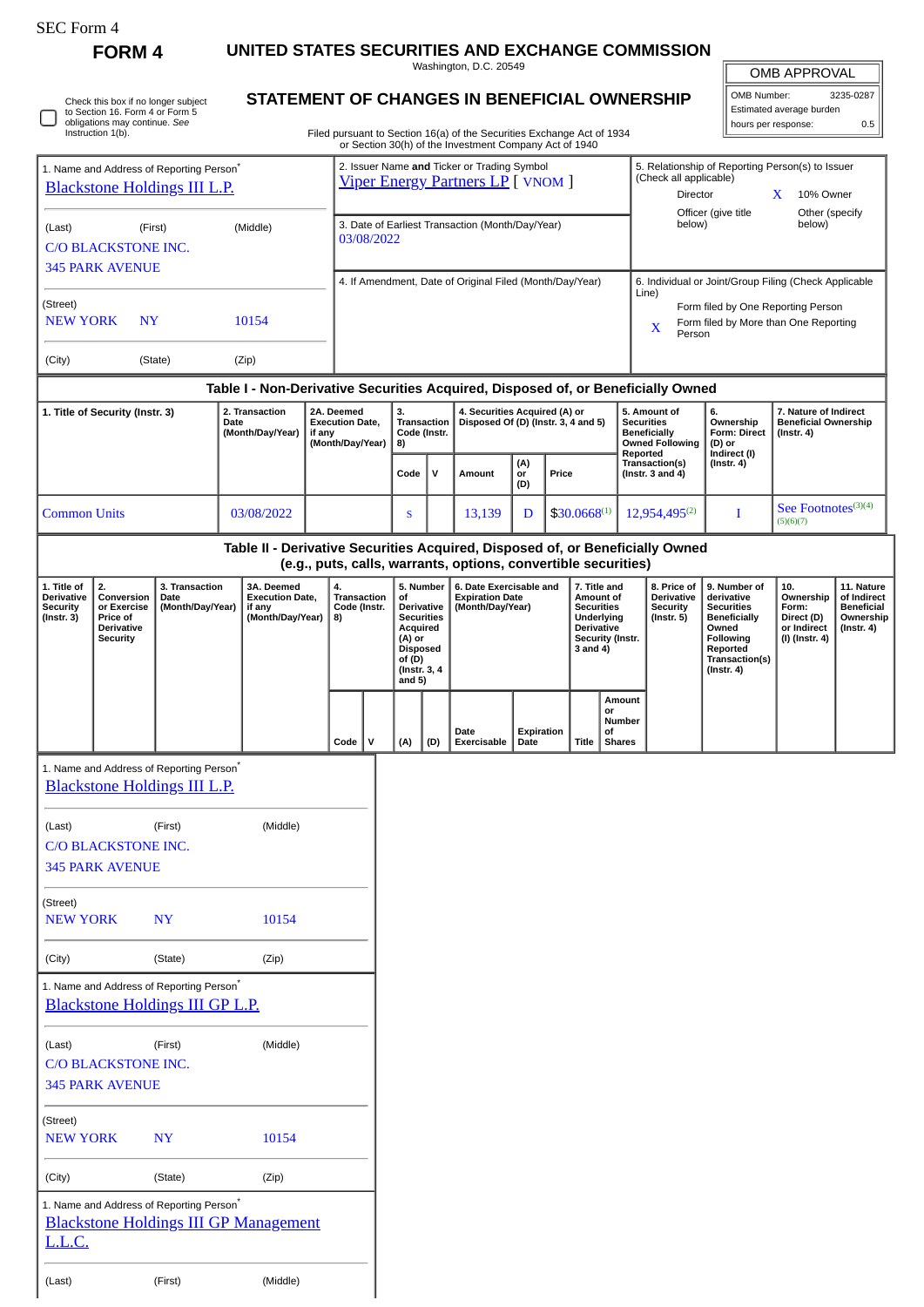| 5EC Form |
|----------|
|----------|

**FORM 4 UNITED STATES SECURITIES AND EXCHANGE COMMISSION**

Washington, D.C. 20549

|                                                                               |                                                                                                         |                                                                                             |                                                                                  |                                                                    |                                   |                                         |                                                                                                                            |                                                                      | Washington, D.C. 20549                                                                                                           |                                                                                                     |                  |                                                                                                   |                                               |                                                                                        |                                                                          |                                                                                                                                | <b>OMB APPROVAL</b>                                               |                                                                   |
|-------------------------------------------------------------------------------|---------------------------------------------------------------------------------------------------------|---------------------------------------------------------------------------------------------|----------------------------------------------------------------------------------|--------------------------------------------------------------------|-----------------------------------|-----------------------------------------|----------------------------------------------------------------------------------------------------------------------------|----------------------------------------------------------------------|----------------------------------------------------------------------------------------------------------------------------------|-----------------------------------------------------------------------------------------------------|------------------|---------------------------------------------------------------------------------------------------|-----------------------------------------------|----------------------------------------------------------------------------------------|--------------------------------------------------------------------------|--------------------------------------------------------------------------------------------------------------------------------|-------------------------------------------------------------------|-------------------------------------------------------------------|
|                                                                               | Check this box if no longer subject<br>to Section 16. Form 4 or Form 5<br>obligations may continue. See |                                                                                             |                                                                                  |                                                                    |                                   |                                         |                                                                                                                            |                                                                      |                                                                                                                                  |                                                                                                     |                  |                                                                                                   |                                               | STATEMENT OF CHANGES IN BENEFICIAL OWNERSHIP                                           |                                                                          | OMB Number:                                                                                                                    | Estimated average burden                                          | 3235-0287                                                         |
|                                                                               | Instruction 1(b).                                                                                       |                                                                                             |                                                                                  |                                                                    |                                   |                                         |                                                                                                                            |                                                                      | Filed pursuant to Section 16(a) of the Securities Exchange Act of 1934<br>or Section 30(h) of the Investment Company Act of 1940 |                                                                                                     |                  |                                                                                                   |                                               |                                                                                        |                                                                          | hours per response:                                                                                                            |                                                                   | 0.5                                                               |
|                                                                               |                                                                                                         | 1. Name and Address of Reporting Person <sup>*</sup><br><b>Blackstone Holdings III L.P.</b> |                                                                                  |                                                                    |                                   |                                         |                                                                                                                            |                                                                      | 2. Issuer Name and Ticker or Trading Symbol<br><b>Viper Energy Partners LP</b> [ VNOM ]                                          |                                                                                                     |                  |                                                                                                   |                                               | 5. Relationship of Reporting Person(s) to Issuer<br>(Check all applicable)<br>Director |                                                                          |                                                                                                                                | X<br>10% Owner                                                    |                                                                   |
| (Middle)<br>(Last)<br>(First)<br><b>C/O BLACKSTONE INC.</b>                   |                                                                                                         |                                                                                             |                                                                                  | 3. Date of Earliest Transaction (Month/Day/Year)<br>03/08/2022     |                                   |                                         |                                                                                                                            |                                                                      |                                                                                                                                  |                                                                                                     |                  | Officer (give title<br>Other (specify<br>below)<br>below)                                         |                                               |                                                                                        |                                                                          |                                                                                                                                |                                                                   |                                                                   |
|                                                                               | <b>345 PARK AVENUE</b>                                                                                  |                                                                                             |                                                                                  |                                                                    |                                   |                                         |                                                                                                                            |                                                                      | 4. If Amendment, Date of Original Filed (Month/Day/Year)                                                                         |                                                                                                     |                  |                                                                                                   |                                               | 6. Individual or Joint/Group Filing (Check Applicable                                  |                                                                          |                                                                                                                                |                                                                   |                                                                   |
| (Street)<br><b>NEW YORK</b><br>10154<br>N <sub>Y</sub>                        |                                                                                                         |                                                                                             |                                                                                  |                                                                    |                                   |                                         |                                                                                                                            |                                                                      |                                                                                                                                  | Line)<br>Form filed by One Reporting Person<br>Form filed by More than One Reporting<br>X<br>Person |                  |                                                                                                   |                                               |                                                                                        |                                                                          |                                                                                                                                |                                                                   |                                                                   |
| (City)                                                                        |                                                                                                         | (State)                                                                                     | (Zip)                                                                            |                                                                    |                                   |                                         |                                                                                                                            |                                                                      |                                                                                                                                  |                                                                                                     |                  |                                                                                                   |                                               |                                                                                        |                                                                          |                                                                                                                                |                                                                   |                                                                   |
|                                                                               |                                                                                                         |                                                                                             | Table I - Non-Derivative Securities Acquired, Disposed of, or Beneficially Owned |                                                                    |                                   |                                         |                                                                                                                            |                                                                      |                                                                                                                                  |                                                                                                     |                  |                                                                                                   |                                               |                                                                                        |                                                                          |                                                                                                                                |                                                                   |                                                                   |
| 1. Title of Security (Instr. 3)<br>2. Transaction<br>Date<br>(Month/Day/Year) |                                                                                                         |                                                                                             |                                                                                  | 2A. Deemed<br><b>Execution Date,</b><br>if any<br>(Month/Day/Year) |                                   | 3.<br>Transaction<br>Code (Instr.<br>8) |                                                                                                                            | 4. Securities Acquired (A) or<br>Disposed Of (D) (Instr. 3, 4 and 5) |                                                                                                                                  |                                                                                                     |                  | 5. Amount of<br><b>Securities</b><br><b>Beneficially</b><br><b>Owned Following</b>                |                                               | Ownership<br><b>Form: Direct</b><br>(D) or                                             | 7. Nature of Indirect<br><b>Beneficial Ownership</b><br>$($ Instr. 4 $)$ |                                                                                                                                |                                                                   |                                                                   |
|                                                                               |                                                                                                         |                                                                                             |                                                                                  |                                                                    |                                   |                                         | Code                                                                                                                       | $\mathsf{v}$                                                         | Amount                                                                                                                           | (A)<br>or<br>(D)                                                                                    | Price            |                                                                                                   |                                               | Reported<br>Transaction(s)<br>(Instr. 3 and $4$ )                                      | Indirect (I)<br>$($ Instr. 4 $)$                                         |                                                                                                                                |                                                                   |                                                                   |
| <b>Common Units</b>                                                           |                                                                                                         |                                                                                             | 03/08/2022                                                                       |                                                                    |                                   |                                         | S                                                                                                                          |                                                                      | 13,139                                                                                                                           | D                                                                                                   | $$30.0668^{(1)}$ |                                                                                                   |                                               | $12,954,495^{(2)}$                                                                     |                                                                          | I                                                                                                                              | See Footnotes <sup>(3)(4)</sup><br>(5)(6)(7)                      |                                                                   |
|                                                                               |                                                                                                         |                                                                                             | Table II - Derivative Securities Acquired, Disposed of, or Beneficially Owned    |                                                                    |                                   |                                         |                                                                                                                            |                                                                      | (e.g., puts, calls, warrants, options, convertible securities)                                                                   |                                                                                                     |                  |                                                                                                   |                                               |                                                                                        |                                                                          |                                                                                                                                |                                                                   |                                                                   |
| 1. Title of                                                                   | 2.                                                                                                      | 3. Transaction                                                                              | 3A. Deemed                                                                       |                                                                    | 4.                                |                                         | 5. Number                                                                                                                  |                                                                      | 6. Date Exercisable and                                                                                                          |                                                                                                     |                  | 7. Title and                                                                                      |                                               | 8. Price of                                                                            |                                                                          | 9. Number of                                                                                                                   | 10.                                                               | 11. Nature                                                        |
| <b>Derivative</b><br>Security<br>$($ Instr. 3 $)$                             | Conversion<br>or Exercise<br>Price of<br><b>Derivative</b><br><b>Security</b>                           | <b>Execution Date,</b><br>Date<br>(Month/Day/Year)<br>if any<br>(Month/Day/Year)            |                                                                                  |                                                                    | Transaction<br>Code (Instr.<br>8) |                                         | of<br><b>Derivative</b><br><b>Securities</b><br>Acquired<br>(A) or<br><b>Disposed</b><br>of(D)<br>(Instr. 3, 4<br>and $5)$ |                                                                      | <b>Expiration Date</b><br>(Month/Day/Year)                                                                                       |                                                                                                     |                  | Amount of<br><b>Securities</b><br>Underlying<br><b>Derivative</b><br>Security (Instr.<br>3 and 4) |                                               | <b>Derivative</b><br><b>Security</b><br>$($ Instr. 5 $)$                               |                                                                          | derivative<br><b>Securities</b><br><b>Beneficially</b><br>Owned<br>Following<br>Reported<br>Transaction(s)<br>$($ Instr. 4 $)$ | Ownership<br>Form:<br>Direct (D)<br>or Indirect<br>(I) (Instr. 4) | of Indirect<br><b>Beneficial</b><br>Ownership<br>$($ Instr. 4 $)$ |
|                                                                               |                                                                                                         |                                                                                             |                                                                                  |                                                                    | Code                              | $\mathsf{V}$                            | (A)                                                                                                                        | (D)                                                                  | Date<br>Exercisable                                                                                                              | Expiration<br>Date                                                                                  |                  | Title                                                                                             | Amount<br>or<br>Number<br>οf<br><b>Shares</b> |                                                                                        |                                                                          |                                                                                                                                |                                                                   |                                                                   |
|                                                                               |                                                                                                         | 1. Name and Address of Reporting Person*<br><b>Blackstone Holdings III L.P.</b>             |                                                                                  |                                                                    |                                   |                                         |                                                                                                                            |                                                                      |                                                                                                                                  |                                                                                                     |                  |                                                                                                   |                                               |                                                                                        |                                                                          |                                                                                                                                |                                                                   |                                                                   |
| (Last)                                                                        | C/O BLACKSTONE INC.<br><b>345 PARK AVENUE</b>                                                           | (First)                                                                                     | (Middle)                                                                         |                                                                    |                                   |                                         |                                                                                                                            |                                                                      |                                                                                                                                  |                                                                                                     |                  |                                                                                                   |                                               |                                                                                        |                                                                          |                                                                                                                                |                                                                   |                                                                   |
| (Street)<br><b>NEW YORK</b>                                                   |                                                                                                         | $\mathbf{N}\mathbf{Y}$                                                                      | 10154                                                                            |                                                                    |                                   |                                         |                                                                                                                            |                                                                      |                                                                                                                                  |                                                                                                     |                  |                                                                                                   |                                               |                                                                                        |                                                                          |                                                                                                                                |                                                                   |                                                                   |
| (City)                                                                        |                                                                                                         | (State)                                                                                     | (Zip)                                                                            |                                                                    |                                   |                                         |                                                                                                                            |                                                                      |                                                                                                                                  |                                                                                                     |                  |                                                                                                   |                                               |                                                                                        |                                                                          |                                                                                                                                |                                                                   |                                                                   |
|                                                                               |                                                                                                         | 1. Name and Address of Reporting Person*<br><b>Blackstone Holdings III GP L.P.</b>          |                                                                                  |                                                                    |                                   |                                         |                                                                                                                            |                                                                      |                                                                                                                                  |                                                                                                     |                  |                                                                                                   |                                               |                                                                                        |                                                                          |                                                                                                                                |                                                                   |                                                                   |
| (Last)                                                                        | C/O BLACKSTONE INC.<br><b>345 PARK AVENUE</b>                                                           | (First)                                                                                     | (Middle)                                                                         |                                                                    |                                   |                                         |                                                                                                                            |                                                                      |                                                                                                                                  |                                                                                                     |                  |                                                                                                   |                                               |                                                                                        |                                                                          |                                                                                                                                |                                                                   |                                                                   |
|                                                                               |                                                                                                         |                                                                                             |                                                                                  |                                                                    |                                   |                                         |                                                                                                                            |                                                                      |                                                                                                                                  |                                                                                                     |                  |                                                                                                   |                                               |                                                                                        |                                                                          |                                                                                                                                |                                                                   |                                                                   |
| (Street)<br><b>NEW YORK</b>                                                   |                                                                                                         | $\mathbf{N}\mathbf{Y}$                                                                      | 10154                                                                            |                                                                    |                                   |                                         |                                                                                                                            |                                                                      |                                                                                                                                  |                                                                                                     |                  |                                                                                                   |                                               |                                                                                        |                                                                          |                                                                                                                                |                                                                   |                                                                   |
| (City)                                                                        |                                                                                                         | (State)                                                                                     | (Zip)                                                                            |                                                                    |                                   |                                         |                                                                                                                            |                                                                      |                                                                                                                                  |                                                                                                     |                  |                                                                                                   |                                               |                                                                                        |                                                                          |                                                                                                                                |                                                                   |                                                                   |
| <u>L.L.C.</u>                                                                 |                                                                                                         | 1. Name and Address of Reporting Person*                                                    | <b>Blackstone Holdings III GP Management</b>                                     |                                                                    |                                   |                                         |                                                                                                                            |                                                                      |                                                                                                                                  |                                                                                                     |                  |                                                                                                   |                                               |                                                                                        |                                                                          |                                                                                                                                |                                                                   |                                                                   |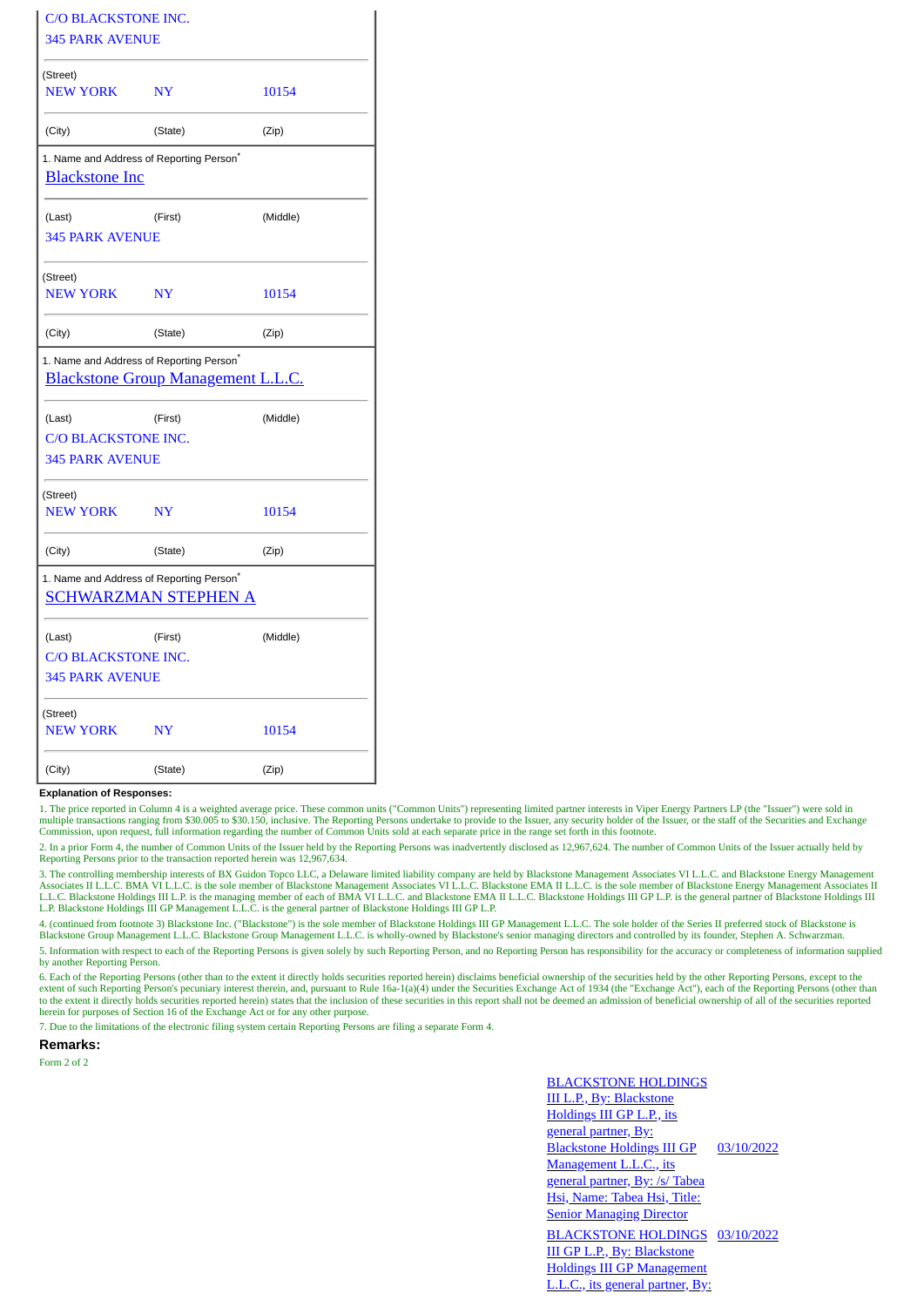| <b>C/O BLACKSTONE INC.</b><br><b>345 PARK AVENUE</b>                                              |                |          |
|---------------------------------------------------------------------------------------------------|----------------|----------|
| (Street)<br><b>NEW YORK</b>                                                                       | <b>NY</b>      | 10154    |
| (City)                                                                                            | (State)        | (Zip)    |
| 1. Name and Address of Reporting Person <sup>*</sup><br><b>Blackstone Inc</b>                     |                |          |
| (Last)<br><b>345 PARK AVENUE</b>                                                                  | (First)        | (Middle) |
| (Street)<br><b>NEW YORK</b>                                                                       | N <sub>Y</sub> | 10154    |
| (City)                                                                                            | (State)        | (Zip)    |
| 1. Name and Address of Reporting Person <sup>*</sup><br><b>Blackstone Group Management L.L.C.</b> |                |          |
| (Last)<br>C/O BLACKSTONE INC.<br><b>345 PARK AVENUE</b>                                           | (First)        | (Middle) |
| (Street)<br><b>NEW YORK</b>                                                                       | <b>NY</b>      | 10154    |
| (City)                                                                                            | (State)        | (Zip)    |
| 1. Name and Address of Reporting Person <sup>®</sup><br><b>SCHWARZMAN STEPHEN A</b>               |                |          |
| (Last)<br>C/O BLACKSTONE INC.<br><b>345 PARK AVENUE</b>                                           | (First)        | (Middle) |
| (Street)<br><b>NEW YORK</b>                                                                       | <b>NY</b>      | 10154    |
| (City)                                                                                            | (State)        | (Zip)    |

## **Explanation of Responses:**

1. The price reported in Column 4 is a weighted average price. These common units ("Common Units") representing limited partner interests in Viper Energy Partners LP (the "Issuer") were sold in multiple transactions ranging from \$30.005 to \$30.150, inclusive. The Reporting Persons undertake to provide to the Issuer, any security holder of the Issuer, or the staff of the Securities and Exchange<br>Commission, upon re

2. In a prior Form 4, the number of Common Units of the Issuer held by the Reporting Persons was inadvertently disclosed as 12,967,624. The number of Common Units of the Issuer actually held by Reporting Persons prior to the transaction reported herein was 12,967,634.

3. The controlling membership interests of BX Guidon Topco LLC, a Delaware limited liability company are held by Blackstone Management Associates VI L.L.C. and Blackstone Energy Management<br>Associates II L.L.C. BMA VI L.L.C Blackstone Holdings III L.P. is the managing member of each of BMA VI L.L.C. and Blackstone EMA II L.L.C. Blackstone Holdings III GP L.P. is the general partner of Blackstone Holdings III L.P. Blackstone Holdings III GP Management L.L.C. is the general partner of Blackstone Holdings III GP L.P.

4. (continued from footnote 3) Blackstone Inc. ("Blackstone") is the sole member of Blackstone Holdings III GP Management L.L.C. The sole holder of the Series II preferred stock of Blackstone is Blackstone Group Management L.L.C. Blackstone Group Management L.L.C. is wholly-owned by Blackstone's senior managing directors and controlled by its founder, Stephen A. Schwarzman.

5. Information with respect to each of the Reporting Persons is given solely by such Reporting Person, and no Reporting Person has responsibility for the accuracy or completeness of information supplied by another Reporting Person.

6. Each of the Reporting Persons (other than to the extent it directly holds securities reported herein) disclaims beneficial ownership of the securities held by the other Reporting Persons, except to the extent of such Reporting Person's pecuniary interest therein, and, pursuant to Rule 16a-1(a)(4) under the Securities Exchange Act of 1934 (the "Exchange Act"), each of the Reporting Persons (other than<br>to the extent it dir

7. Due to the limitations of the electronic filing system certain Reporting Persons are filing a separate Form 4.

## **Remarks:**

Form 2 of 2

## BLACKSTONE HOLDINGS III L.P., By: Blackstone Holdings III GP L.P., its general partner, By: Blackstone Holdings III GP Management L.L.C., its general partner, By: /s/ Tabea Hsi, Name: Tabea Hsi, Title: **Senior Managing Director** 03/10/2022 BLACKSTONE HOLDINGS 03/10/2022III GP L.P., By: Blackstone Holdings III GP Management L.L.C., its general partner, By: